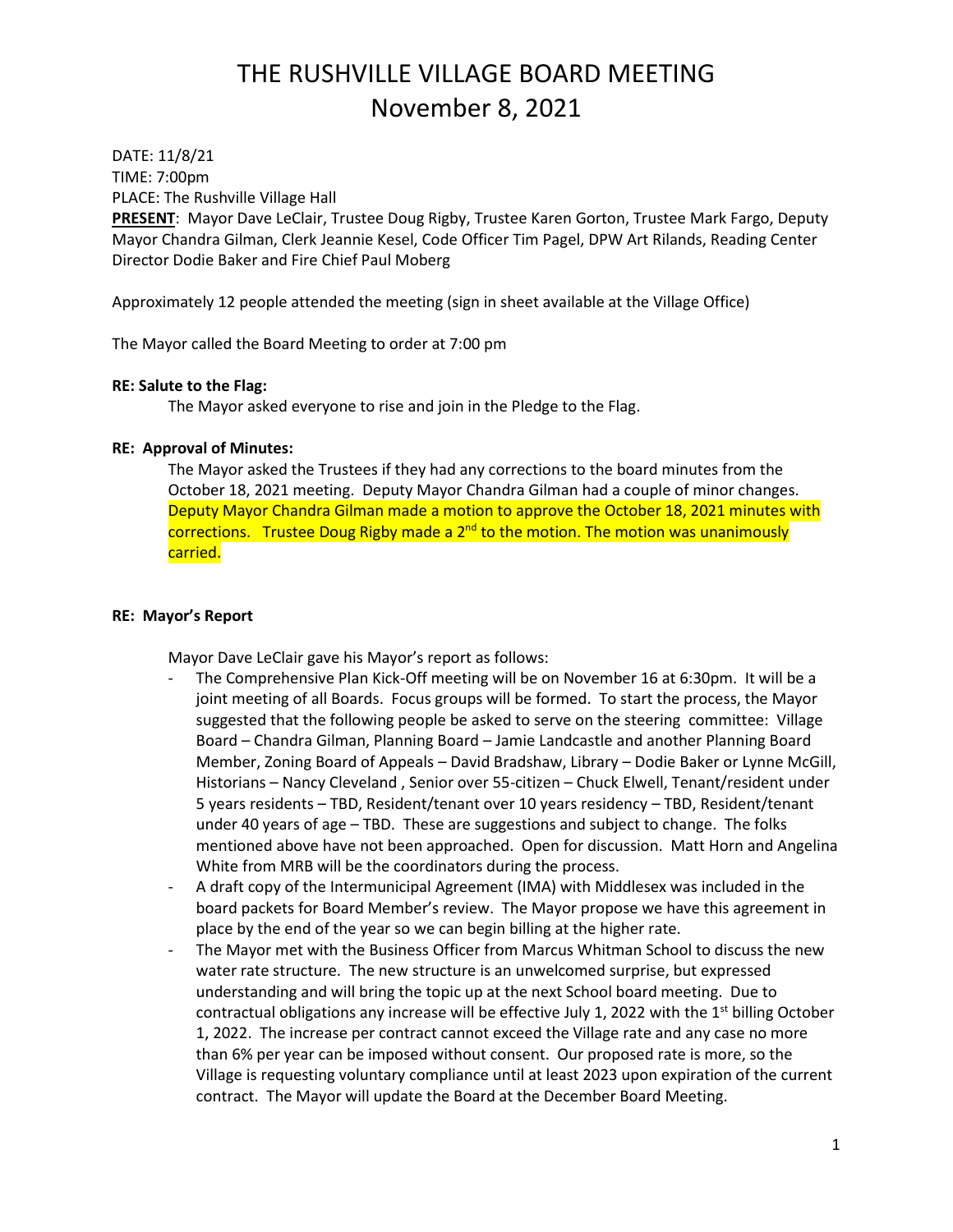DATE: 11/8/21 TIME: 7:00pm PLACE: The Rushville Village Hall

**PRESENT**: Mayor Dave LeClair, Trustee Doug Rigby, Trustee Karen Gorton, Trustee Mark Fargo, Deputy Mayor Chandra Gilman, Clerk Jeannie Kesel, Code Officer Tim Pagel, DPW Art Rilands, Reading Center Director Dodie Baker and Fire Chief Paul Moberg

Approximately 12 people attended the meeting (sign in sheet available at the Village Office)

The Mayor called the Board Meeting to order at 7:00 pm

#### **RE: Salute to the Flag:**

The Mayor asked everyone to rise and join in the Pledge to the Flag.

#### **RE: Approval of Minutes:**

The Mayor asked the Trustees if they had any corrections to the board minutes from the October 18, 2021 meeting. Deputy Mayor Chandra Gilman had a couple of minor changes. Deputy Mayor Chandra Gilman made a motion to approve the October 18, 2021 minutes with corrections. Trustee Doug Rigby made a 2<sup>nd</sup> to the motion. The motion was unanimously carried.

#### **RE: Mayor's Report**

Mayor Dave LeClair gave his Mayor's report as follows:

- The Comprehensive Plan Kick-Off meeting will be on November 16 at 6:30pm. It will be a joint meeting of all Boards. Focus groups will be formed. To start the process, the Mayor suggested that the following people be asked to serve on the steering committee: Village Board – Chandra Gilman, Planning Board – Jamie Landcastle and another Planning Board Member, Zoning Board of Appeals – David Bradshaw, Library – Dodie Baker or Lynne McGill, Historians – Nancy Cleveland , Senior over 55-citizen – Chuck Elwell, Tenant/resident under 5 years residents – TBD, Resident/tenant over 10 years residency – TBD, Resident/tenant under 40 years of age – TBD. These are suggestions and subject to change. The folks mentioned above have not been approached. Open for discussion. Matt Horn and Angelina White from MRB will be the coordinators during the process.
- A draft copy of the Intermunicipal Agreement (IMA) with Middlesex was included in the board packets for Board Member's review. The Mayor propose we have this agreement in place by the end of the year so we can begin billing at the higher rate.
- The Mayor met with the Business Officer from Marcus Whitman School to discuss the new water rate structure. The new structure is an unwelcomed surprise, but expressed understanding and will bring the topic up at the next School board meeting. Due to contractual obligations any increase will be effective July 1, 2022 with the  $1^{st}$  billing October 1, 2022. The increase per contract cannot exceed the Village rate and any case no more than 6% per year can be imposed without consent. Our proposed rate is more, so the Village is requesting voluntary compliance until at least 2023 upon expiration of the current contract. The Mayor will update the Board at the December Board Meeting.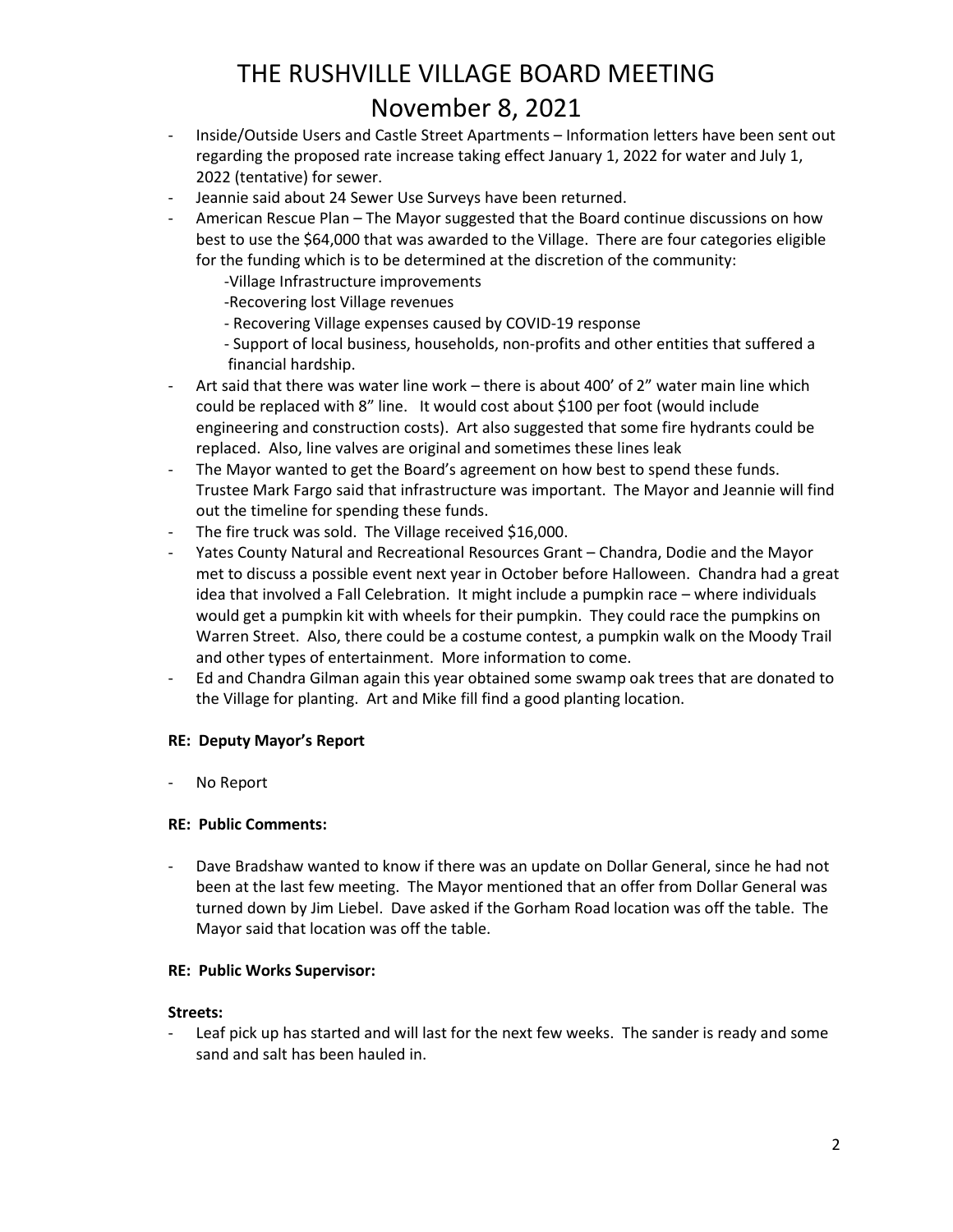- Inside/Outside Users and Castle Street Apartments Information letters have been sent out regarding the proposed rate increase taking effect January 1, 2022 for water and July 1, 2022 (tentative) for sewer.
- Jeannie said about 24 Sewer Use Surveys have been returned.
- American Rescue Plan The Mayor suggested that the Board continue discussions on how best to use the \$64,000 that was awarded to the Village. There are four categories eligible for the funding which is to be determined at the discretion of the community:
	- -Village Infrastructure improvements
	- -Recovering lost Village revenues
	- Recovering Village expenses caused by COVID-19 response
	- Support of local business, households, non-profits and other entities that suffered a financial hardship.
- Art said that there was water line work there is about 400' of 2" water main line which could be replaced with 8" line. It would cost about \$100 per foot (would include engineering and construction costs). Art also suggested that some fire hydrants could be replaced. Also, line valves are original and sometimes these lines leak
- The Mayor wanted to get the Board's agreement on how best to spend these funds. Trustee Mark Fargo said that infrastructure was important. The Mayor and Jeannie will find out the timeline for spending these funds.
- The fire truck was sold. The Village received \$16,000.
- Yates County Natural and Recreational Resources Grant Chandra, Dodie and the Mayor met to discuss a possible event next year in October before Halloween. Chandra had a great idea that involved a Fall Celebration. It might include a pumpkin race – where individuals would get a pumpkin kit with wheels for their pumpkin. They could race the pumpkins on Warren Street. Also, there could be a costume contest, a pumpkin walk on the Moody Trail and other types of entertainment. More information to come.
- Ed and Chandra Gilman again this year obtained some swamp oak trees that are donated to the Village for planting. Art and Mike fill find a good planting location.

#### **RE: Deputy Mayor's Report**

- No Report

#### **RE: Public Comments:**

Dave Bradshaw wanted to know if there was an update on Dollar General, since he had not been at the last few meeting. The Mayor mentioned that an offer from Dollar General was turned down by Jim Liebel. Dave asked if the Gorham Road location was off the table. The Mayor said that location was off the table.

#### **RE: Public Works Supervisor:**

#### **Streets:**

Leaf pick up has started and will last for the next few weeks. The sander is ready and some sand and salt has been hauled in.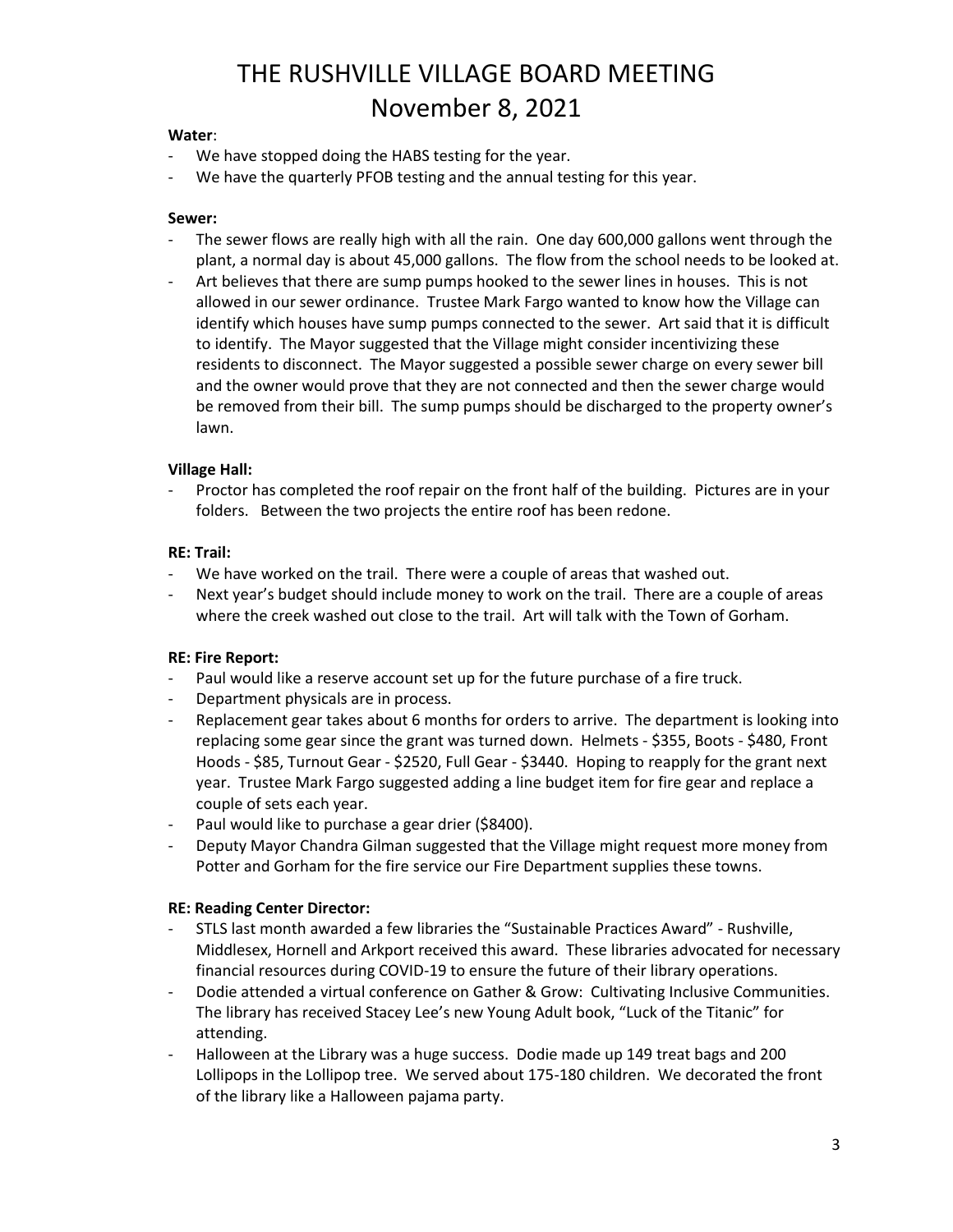#### **Water**:

- We have stopped doing the HABS testing for the year.
- We have the quarterly PFOB testing and the annual testing for this year.

#### **Sewer:**

- The sewer flows are really high with all the rain. One day 600,000 gallons went through the plant, a normal day is about 45,000 gallons. The flow from the school needs to be looked at.
- Art believes that there are sump pumps hooked to the sewer lines in houses. This is not allowed in our sewer ordinance. Trustee Mark Fargo wanted to know how the Village can identify which houses have sump pumps connected to the sewer. Art said that it is difficult to identify. The Mayor suggested that the Village might consider incentivizing these residents to disconnect. The Mayor suggested a possible sewer charge on every sewer bill and the owner would prove that they are not connected and then the sewer charge would be removed from their bill. The sump pumps should be discharged to the property owner's lawn.

#### **Village Hall:**

Proctor has completed the roof repair on the front half of the building. Pictures are in your folders. Between the two projects the entire roof has been redone.

#### **RE: Trail:**

- We have worked on the trail. There were a couple of areas that washed out.
- Next year's budget should include money to work on the trail. There are a couple of areas where the creek washed out close to the trail. Art will talk with the Town of Gorham.

#### **RE: Fire Report:**

- Paul would like a reserve account set up for the future purchase of a fire truck.
- Department physicals are in process.
- Replacement gear takes about 6 months for orders to arrive. The department is looking into replacing some gear since the grant was turned down. Helmets - \$355, Boots - \$480, Front Hoods - \$85, Turnout Gear - \$2520, Full Gear - \$3440. Hoping to reapply for the grant next year. Trustee Mark Fargo suggested adding a line budget item for fire gear and replace a couple of sets each year.
- Paul would like to purchase a gear drier (\$8400).
- Deputy Mayor Chandra Gilman suggested that the Village might request more money from Potter and Gorham for the fire service our Fire Department supplies these towns.

#### **RE: Reading Center Director:**

- STLS last month awarded a few libraries the "Sustainable Practices Award" Rushville, Middlesex, Hornell and Arkport received this award. These libraries advocated for necessary financial resources during COVID-19 to ensure the future of their library operations.
- Dodie attended a virtual conference on Gather & Grow: Cultivating Inclusive Communities. The library has received Stacey Lee's new Young Adult book, "Luck of the Titanic" for attending.
- Halloween at the Library was a huge success. Dodie made up 149 treat bags and 200 Lollipops in the Lollipop tree. We served about 175-180 children. We decorated the front of the library like a Halloween pajama party.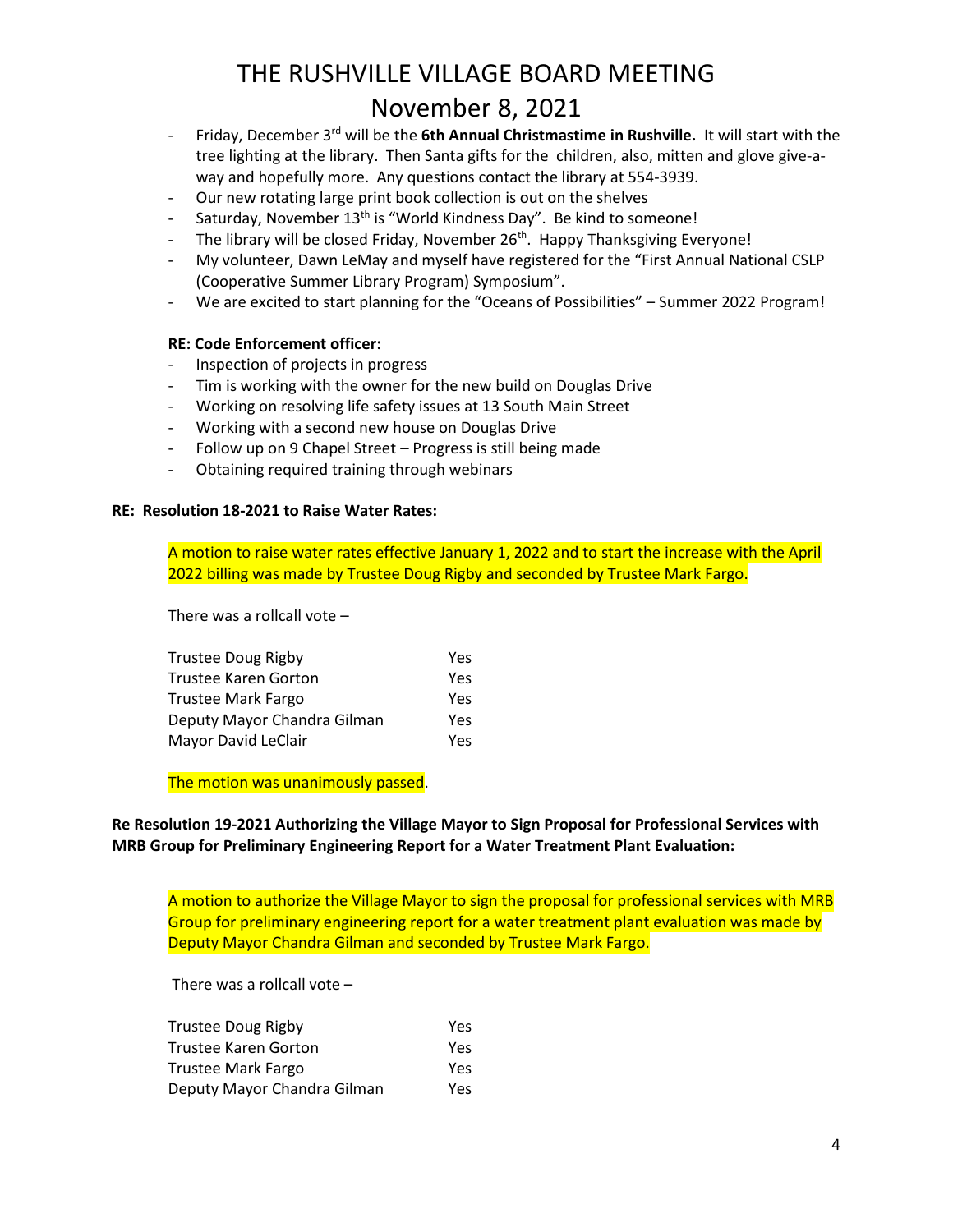- Friday, December 3rd will be the **6th Annual Christmastime in Rushville.** It will start with the tree lighting at the library. Then Santa gifts for the children, also, mitten and glove give-away and hopefully more. Any questions contact the library at 554-3939.
- Our new rotating large print book collection is out on the shelves
- Saturday, November 13<sup>th</sup> is "World Kindness Day". Be kind to someone!
- The library will be closed Friday, November  $26<sup>th</sup>$ . Happy Thanksgiving Everyone!
- My volunteer, Dawn LeMay and myself have registered for the "First Annual National CSLP (Cooperative Summer Library Program) Symposium".
- We are excited to start planning for the "Oceans of Possibilities" Summer 2022 Program!

#### **RE: Code Enforcement officer:**

- Inspection of projects in progress
- Tim is working with the owner for the new build on Douglas Drive
- Working on resolving life safety issues at 13 South Main Street
- Working with a second new house on Douglas Drive
- Follow up on 9 Chapel Street Progress is still being made
- Obtaining required training through webinars

#### **RE: Resolution 18-2021 to Raise Water Rates:**

A motion to raise water rates effective January 1, 2022 and to start the increase with the April 2022 billing was made by Trustee Doug Rigby and seconded by Trustee Mark Fargo.

There was a rollcall vote –

| Trustee Doug Rigby          | Yes |
|-----------------------------|-----|
| Trustee Karen Gorton        | Yes |
| Trustee Mark Fargo          | Yes |
| Deputy Mayor Chandra Gilman | Yes |
| Mayor David LeClair         | Yes |
|                             |     |

The motion was unanimously passed.

**Re Resolution 19-2021 Authorizing the Village Mayor to Sign Proposal for Professional Services with MRB Group for Preliminary Engineering Report for a Water Treatment Plant Evaluation:**

A motion to authorize the Village Mayor to sign the proposal for professional services with MRB Group for preliminary engineering report for a water treatment plant evaluation was made by Deputy Mayor Chandra Gilman and seconded by Trustee Mark Fargo.

There was a rollcall vote –

| <b>Trustee Doug Rigby</b>   | Yes |
|-----------------------------|-----|
| <b>Trustee Karen Gorton</b> | Yes |
| Trustee Mark Fargo          | Yes |
| Deputy Mayor Chandra Gilman | Yes |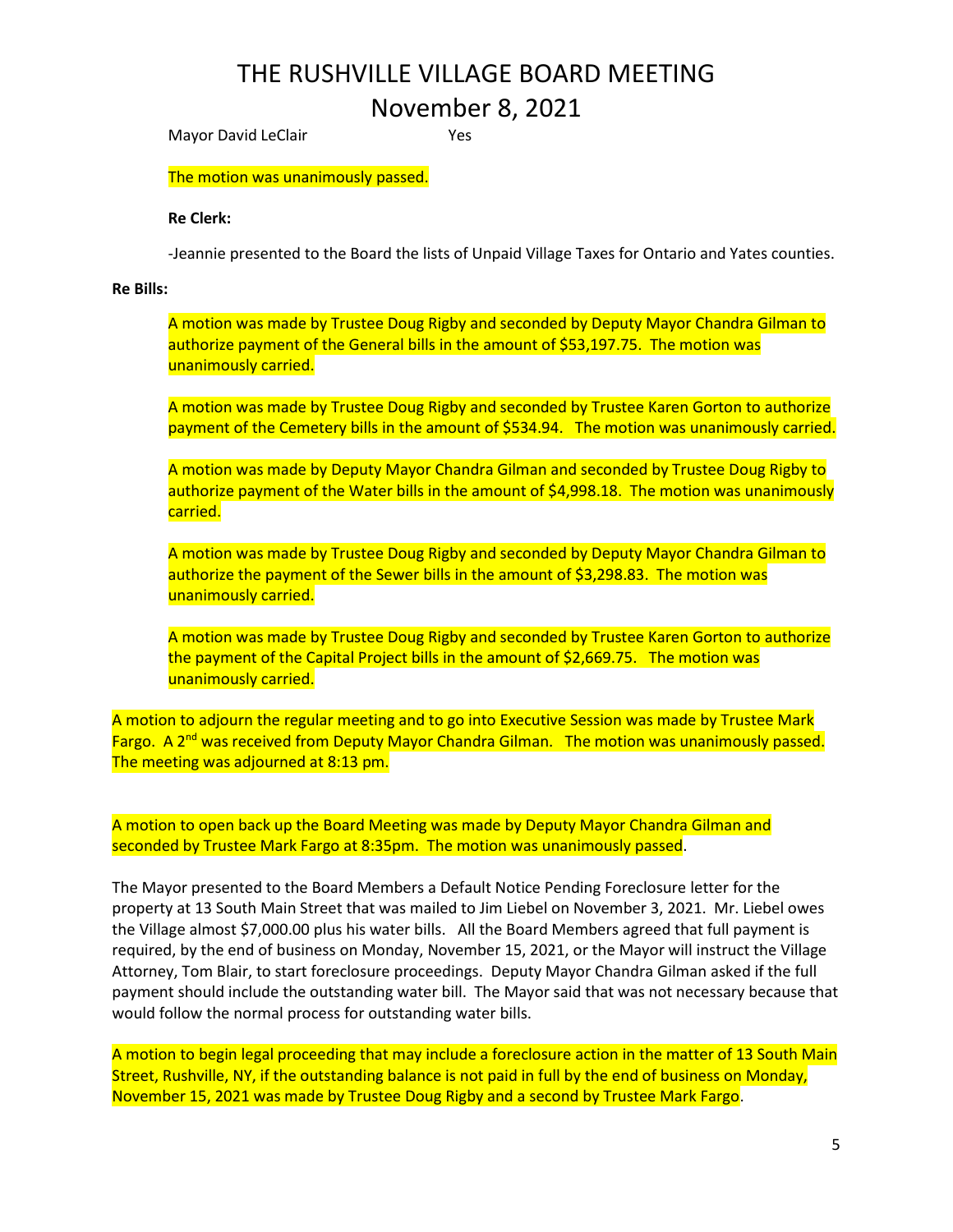Mayor David LeClair **Yes** 

The motion was unanimously passed.

#### **Re Clerk:**

-Jeannie presented to the Board the lists of Unpaid Village Taxes for Ontario and Yates counties.

#### **Re Bills:**

A motion was made by Trustee Doug Rigby and seconded by Deputy Mayor Chandra Gilman to authorize payment of the General bills in the amount of \$53,197.75. The motion was unanimously carried.

A motion was made by Trustee Doug Rigby and seconded by Trustee Karen Gorton to authorize payment of the Cemetery bills in the amount of \$534.94. The motion was unanimously carried.

A motion was made by Deputy Mayor Chandra Gilman and seconded by Trustee Doug Rigby to authorize payment of the Water bills in the amount of \$4,998.18. The motion was unanimously carried.

A motion was made by Trustee Doug Rigby and seconded by Deputy Mayor Chandra Gilman to authorize the payment of the Sewer bills in the amount of \$3,298.83. The motion was unanimously carried.

A motion was made by Trustee Doug Rigby and seconded by Trustee Karen Gorton to authorize the payment of the Capital Project bills in the amount of \$2,669.75. The motion was unanimously carried.

A motion to adjourn the regular meeting and to go into Executive Session was made by Trustee Mark Fargo. A 2<sup>nd</sup> was received from Deputy Mayor Chandra Gilman. The motion was unanimously passed. The meeting was adjourned at 8:13 pm.

A motion to open back up the Board Meeting was made by Deputy Mayor Chandra Gilman and seconded by Trustee Mark Fargo at 8:35pm. The motion was unanimously passed.

The Mayor presented to the Board Members a Default Notice Pending Foreclosure letter for the property at 13 South Main Street that was mailed to Jim Liebel on November 3, 2021. Mr. Liebel owes the Village almost \$7,000.00 plus his water bills. All the Board Members agreed that full payment is required, by the end of business on Monday, November 15, 2021, or the Mayor will instruct the Village Attorney, Tom Blair, to start foreclosure proceedings. Deputy Mayor Chandra Gilman asked if the full payment should include the outstanding water bill. The Mayor said that was not necessary because that would follow the normal process for outstanding water bills.

A motion to begin legal proceeding that may include a foreclosure action in the matter of 13 South Main Street, Rushville, NY, if the outstanding balance is not paid in full by the end of business on Monday, November 15, 2021 was made by Trustee Doug Rigby and a second by Trustee Mark Fargo.